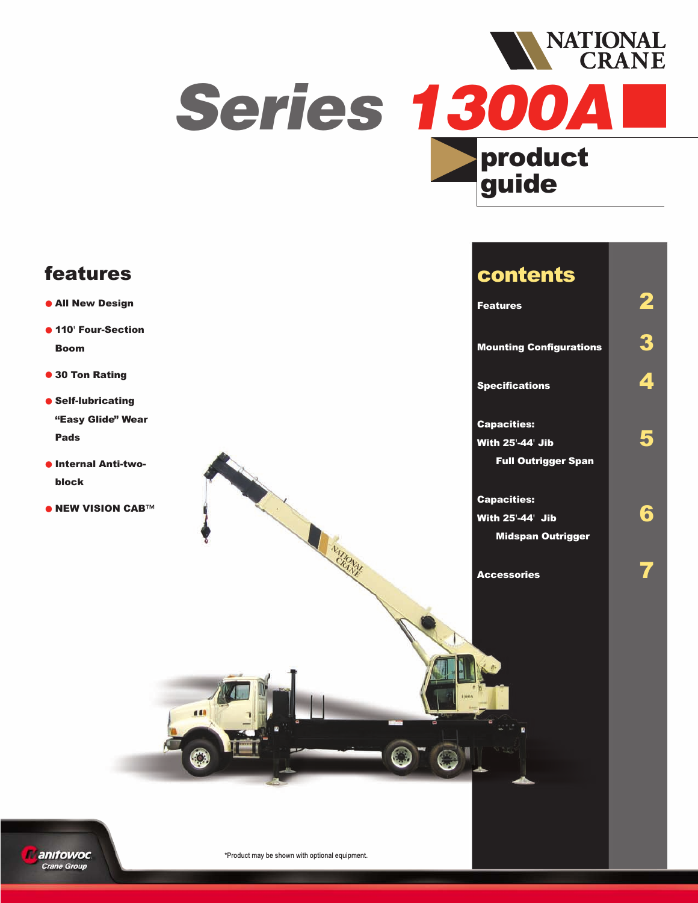

## **features**

- **• All New Design**
- **• 110' Four-Section Boom**
- **• 30 Ton Rating**
- **• Self-lubricating "Easy Glide" Wear Pads**
- **•Internal Anti-twoblock**
- **• NEW VISION CAB™**

## **contents**

**Features 2**

**Mounting Configurations 3**

**Specifications 4**

**Capacities: With 25'-44' Jib 5 Full Outrigger Span**

**Capacities: With 25'-44' Jib 6 Midspan Outrigger**

**Accessories 7**



**AMIRANTE**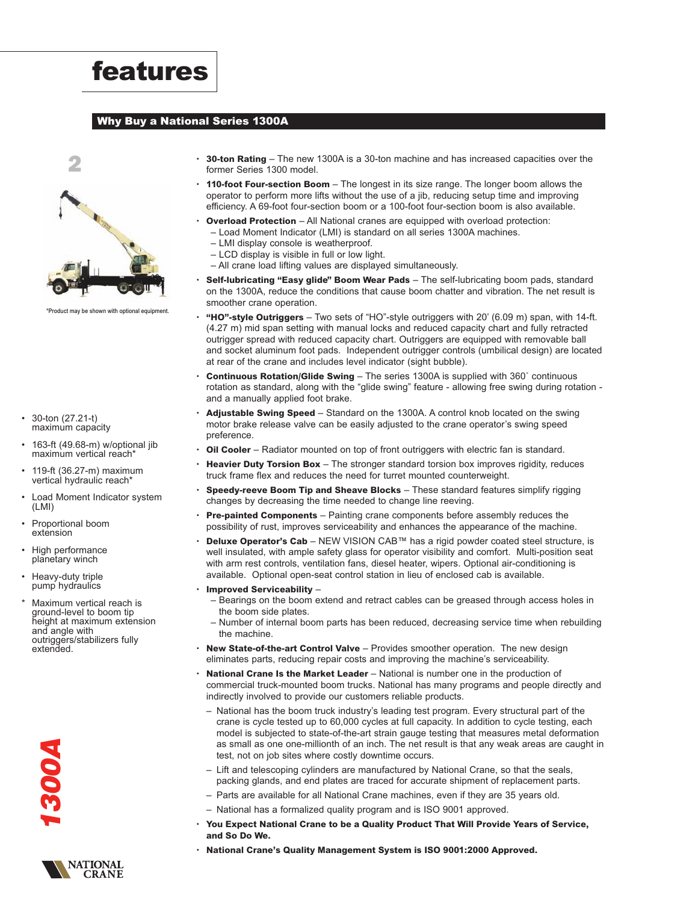

#### **Why Buy a National Series 1300A**



\*Product may be shown with optional equipment.

- 30-ton (27.21-t) maximum capacity
- 163-ft (49.68-m) w/optional jib maximum vertical reach<sup>\*</sup>
- 119-ft (36.27-m) maximum vertical hydraulic reach<sup>\*</sup>
- Load Moment Indicator system (LMI)
- Proportional boom extension
- High performance planetary winch
- Heavy-duty triple pump hydraulics
- Maximum vertical reach is ground-level to boom tip height at maximum extension and angle with outriggers/stabilizers fully extended.
	- *1300A*
	- **NATIONAL**<br>CRANE
- **30-ton Rating** The new 1300A is a 30-ton machine and has increased capacities over the former Series 1300 model.
- **110-foot Four-section Boom** The longest in its size range. The longer boom allows the operator to perform more lifts without the use of a jib, reducing setup time and improving efficiency. A 69-foot four-section boom or a 100-foot four-section boom is also available.
- **Overload Protection** All National cranes are equipped with overload protection: – Load Moment Indicator (LMI) is standard on all series 1300A machines.
	- LMI display console is weatherproof.
	- LCD display is visible in full or low light.
	- All crane load lifting values are displayed simultaneously.
- **Self-lubricating "Easy glide" Boom Wear Pads** The self-lubricating boom pads, standard on the 1300A, reduce the conditions that cause boom chatter and vibration. The net result is smoother crane operation.
- **"HO"-style Outriggers** Two sets of "HO"-style outriggers with 20' (6.09 m) span, with 14-ft. (4.27 m) mid span setting with manual locks and reduced capacity chart and fully retracted outrigger spread with reduced capacity chart. Outriggers are equipped with removable ball and socket aluminum foot pads. Independent outrigger controls (umbilical design) are located at rear of the crane and includes level indicator (sight bubble).
- **Continuous Rotation/Glide Swing** The series 1300A is supplied with 360˚ continuous rotation as standard, along with the "glide swing" feature - allowing free swing during rotation and a manually applied foot brake.
- **Adjustable Swing Speed** Standard on the 1300A. A control knob located on the swing motor brake release valve can be easily adjusted to the crane operator's swing speed preference.
- **Oil Cooler** Radiator mounted on top of front outriggers with electric fan is standard.
- **• Heavier Duty Torsion Box** The stronger standard torsion box improves rigidity, reduces truck frame flex and reduces the need for turret mounted counterweight.
- **Speedy-reeve Boom Tip and Sheave Blocks** These standard features simplify rigging changes by decreasing the time needed to change line reeving.
- **• Pre-painted Components** Painting crane components before assembly reduces the possibility of rust, improves serviceability and enhances the appearance of the machine.
- **• Deluxe Operator's Cab** NEW VISION CAB™ has a rigid powder coated steel structure, is well insulated, with ample safety glass for operator visibility and comfort. Multi-position seat with arm rest controls, ventilation fans, diesel heater, wipers. Optional air-conditioning is available. Optional open-seat control station in lieu of enclosed cab is available.
- **Improved Serviceability**
	- Bearings on the boom extend and retract cables can be greased through access holes in the boom side plates.
	- Number of internal boom parts has been reduced, decreasing service time when rebuilding the machine.
- **New State-of-the-art Control Valve** Provides smoother operation. The new design eliminates parts, reducing repair costs and improving the machine's serviceability.
- **• National Crane Is the Market Leader** National is number one in the production of commercial truck-mounted boom trucks. National has many programs and people directly and indirectly involved to provide our customers reliable products.
	- National has the boom truck industry's leading test program. Every structural part of the crane is cycle tested up to 60,000 cycles at full capacity. In addition to cycle testing, each model is subjected to state-of-the-art strain gauge testing that measures metal deformation as small as one one-millionth of an inch. The net result is that any weak areas are caught in test, not on job sites where costly downtime occurs.
	- Lift and telescoping cylinders are manufactured by National Crane, so that the seals, packing glands, and end plates are traced for accurate shipment of replacement parts.
	- Parts are available for all National Crane machines, even if they are 35 years old.
	- National has a formalized quality program and is ISO 9001 approved.
- **You Expect National Crane to be a Quality Product That Will Provide Years of Service, and So Do We.**
- **• National Crane's Quality Management System is ISO 9001:2000 Approved.**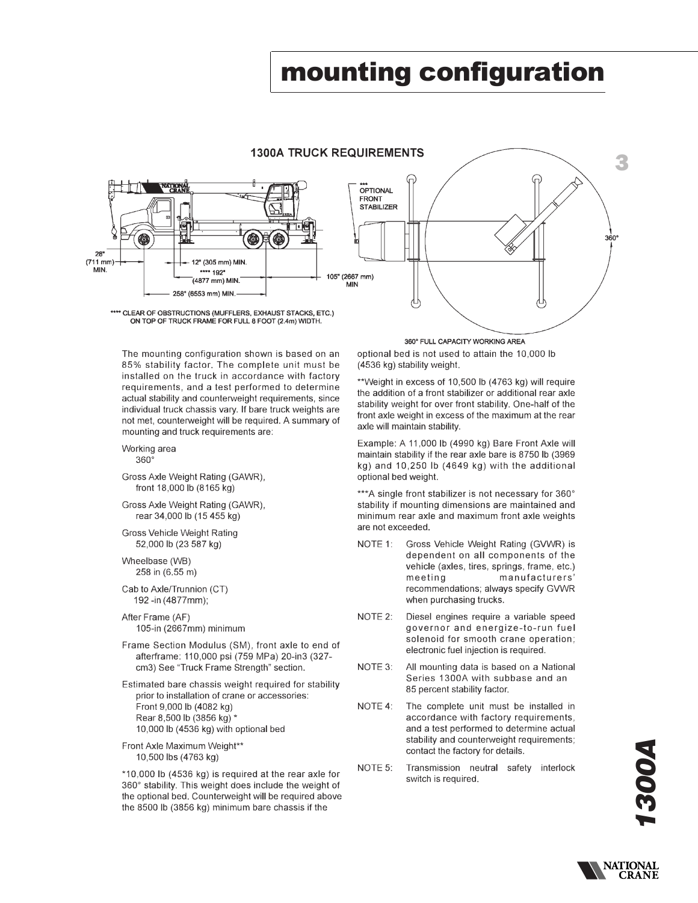# mounting configuration

### **1300A TRUCK REQUIREMENTS**



The mounting configuration shown is based on an 85% stability factor. The complete unit must be installed on the truck in accordance with factory requirements, and a test performed to determine actual stability and counterweight requirements, since individual truck chassis vary. If bare truck weights are not met, counterweight will be required. A summary of mounting and truck requirements are:

#### Working area

 $360^\circ$ 

- Gross Axle Weight Rating (GAWR), front 18,000 lb (8165 kg)
- Gross Axle Weight Rating (GAWR), rear 34,000 lb (15 455 kg)
- Gross Vehicle Weight Rating 52,000 lb (23 587 kg)

Wheelbase (WB) 258 in (6.55 m)

Cab to Axle/Trunnion (CT) 192 -in (4877mm);

After Frame (AF) 105-in (2667mm) minimum

- Frame Section Modulus (SM), front axle to end of afterframe: 110,000 psi (759 MPa) 20-in3 (327cm3) See "Truck Frame Strength" section.
- Estimated bare chassis weight required for stability prior to installation of crane or accessories: Front 9,000 lb (4082 kg) Rear 8,500 lb (3856 kg) \* 10,000 lb (4536 kg) with optional bed

Front Axle Maximum Weight\*\* 10,500 lbs (4763 kg)

\*10,000 lb (4536 kg) is required at the rear axle for 360° stability. This weight does include the weight of the optional bed. Counterweight will be required above the 8500 lb (3856 kg) minimum bare chassis if the

360° FULL CAPACITY WORKING AREA

optional bed is not used to attain the 10,000 lb (4536 kg) stability weight.

\*\*Weight in excess of 10,500 lb (4763 kg) will require the addition of a front stabilizer or additional rear axle stability weight for over front stability. One-half of the front axle weight in excess of the maximum at the rear axle will maintain stability.

Example: A 11,000 lb (4990 kg) Bare Front Axle will maintain stability if the rear axle bare is 8750 lb (3969 kg) and 10,250 lb (4649 kg) with the additional optional bed weight.

\*\*\*A single front stabilizer is not necessary for 360° stability if mounting dimensions are maintained and minimum rear axle and maximum front axle weights are not exceeded.

- NOTE 1: Gross Vehicle Weight Rating (GVWR) is dependent on all components of the vehicle (axles, tires, springs, frame, etc.) manufacturers' meeting recommendations; always specify GVWR when purchasing trucks.
- NOTE 2: Diesel engines require a variable speed governor and energize-to-run fuel solenoid for smooth crane operation; electronic fuel injection is required.
- NOTE 3: All mounting data is based on a National Series 1300A with subbase and an 85 percent stability factor.
- NOTE 4: The complete unit must be installed in accordance with factory requirements, and a test performed to determine actual stability and counterweight requirements; contact the factory for details.
- NOTE 5: Transmission neutral safety interlock switch is required.

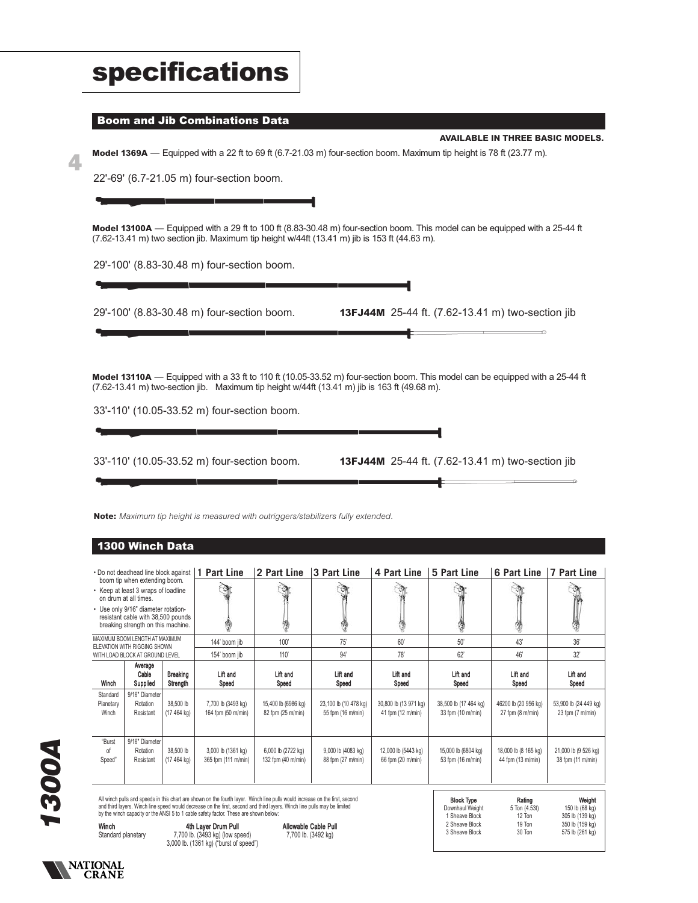| <b>specifications</b>                                                                                                                                                                                                                                       |
|-------------------------------------------------------------------------------------------------------------------------------------------------------------------------------------------------------------------------------------------------------------|
| <b>Boom and Jib Combinations Data</b>                                                                                                                                                                                                                       |
| <b>AVAILABLE IN THREE BASIC MODELS.</b><br>Model 1369A — Equipped with a 22 ft to 69 ft (6.7-21.03 m) four-section boom. Maximum tip height is 78 ft (23.77 m).                                                                                             |
| 22'-69' (6.7-21.05 m) four-section boom.                                                                                                                                                                                                                    |
|                                                                                                                                                                                                                                                             |
| Model 13100A — Equipped with a 29 ft to 100 ft (8.83-30.48 m) four-section boom. This model can be equipped with a 25-44 ft<br>$(7.62-13.41 \text{ m})$ two section jib. Maximum tip height w/44ft $(13.41 \text{ m})$ jib is 153 ft $(44.63 \text{ m})$ .  |
| 29'-100' (8.83-30.48 m) four-section boom.                                                                                                                                                                                                                  |
|                                                                                                                                                                                                                                                             |
| 29'-100' (8.83-30.48 m) four-section boom.<br>13FJ44M 25-44 ft. (7.62-13.41 m) two-section jib                                                                                                                                                              |
|                                                                                                                                                                                                                                                             |
|                                                                                                                                                                                                                                                             |
| Model 13110A — Equipped with a 33 ft to 110 ft (10.05-33.52 m) four-section boom. This model can be equipped with a 25-44 ft<br>$(7.62-13.41 \text{ m})$ two-section jib. Maximum tip height w/44ft $(13.41 \text{ m})$ jib is 163 ft $(49.68 \text{ m})$ . |
| 33'-110' (10.05-33.52 m) four-section boom.                                                                                                                                                                                                                 |
|                                                                                                                                                                                                                                                             |
| 33'-110' (10.05-33.52 m) four-section boom.<br>13FJ44M 25-44 ft. (7.62-13.41 m) two-section jib                                                                                                                                                             |
|                                                                                                                                                                                                                                                             |
|                                                                                                                                                                                                                                                             |
| Note: Maximum tip height is measured with outriggers/stabilizers fully extended.                                                                                                                                                                            |
| 1300 Winch Data                                                                                                                                                                                                                                             |
|                                                                                                                                                                                                                                                             |

|                                | boom tip when extending boom.<br>• Keep at least 3 wraps of loadline<br>on drum at all times.<br>• Use only 9/16" diameter rotation-<br>resistant cable with 38,500 pounds<br>breaking strength on this machine.<br>MAXIMUM BOOM LENGTH AT MAXIMUM<br>ELEVATION WITH RIGGING SHOWN                                                                                                                                                                                                               |                                   | 144' boom jib                             | ŋ<br>100'                                | 75'                                        | 60'                                        | 50'                                        | G<br>43'                                             | 惨<br>36'                                            |  |
|--------------------------------|--------------------------------------------------------------------------------------------------------------------------------------------------------------------------------------------------------------------------------------------------------------------------------------------------------------------------------------------------------------------------------------------------------------------------------------------------------------------------------------------------|-----------------------------------|-------------------------------------------|------------------------------------------|--------------------------------------------|--------------------------------------------|--------------------------------------------|------------------------------------------------------|-----------------------------------------------------|--|
|                                | WITH LOAD BLOCK AT GROUND LEVEL                                                                                                                                                                                                                                                                                                                                                                                                                                                                  |                                   | 154' boom jib                             | 110'                                     | 94'                                        | 78'                                        | 62'                                        | 46'                                                  | 32'                                                 |  |
| Winch                          | Average<br>Cable<br>Supplied                                                                                                                                                                                                                                                                                                                                                                                                                                                                     | Breaking<br>Strength              | Lift and<br>Speed                         | Lift and<br>Speed                        | Lift and<br>Speed                          | Lift and<br>Speed                          | Lift and<br>Speed                          | Lift and<br>Speed                                    | Lift and<br>Speed                                   |  |
| Standard<br>Planetary<br>Winch | 9/16" Diameter<br>Rotation<br>Resistant                                                                                                                                                                                                                                                                                                                                                                                                                                                          | 38,500 lb<br>$(17464 \text{ kg})$ | 7,700 lb (3493 kg)<br>164 fpm (50 m/min)  | 15,400 lb (6986 kg)<br>82 fpm (25 m/min) | 23,100 lb (10 478 kg)<br>55 fpm (16 m/min) | 30,800 lb (13 971 kg)<br>41 fpm (12 m/min) | 38,500 lb (17 464 kg)<br>33 fpm (10 m/min) | 46200 lb (20 956 kg)<br>$27$ fpm $(8 \text{ m/min})$ | 53,900 lb (24 449 kg)<br>23 fpm $(7 \text{ m/min})$ |  |
| "Burst<br>of<br>Speed"         | 9/16" Diameter<br>Rotation<br>Resistant                                                                                                                                                                                                                                                                                                                                                                                                                                                          | 38,500 lb<br>$(17464 \text{ kg})$ | 3,000 lb (1361 kg)<br>365 fpm (111 m/min) | 6,000 lb (2722 kg)<br>132 fpm (40 m/min) | 9,000 lb (4083 kg)<br>88 fpm (27 m/min)    | 12,000 lb (5443 kg)<br>66 fpm (20 m/min)   | 15,000 lb (6804 kg)<br>53 fpm (16 m/min)   | 18,000 lb (8 165 kg)<br>44 fpm (13 m/min)            | 21,000 lb (9 526 kg)<br>38 fpm (11 m/min)           |  |
|                                | All winch pulls and speeds in this chart are shown on the fourth layer. Winch line pulls would increase on the first, second<br><b>Block Type</b><br>Weight<br>Rating<br>and third layers. Winch line speed would decrease on the first, second and third layers. Winch line pulls may be limited<br>150 lb (68 kg)<br>Downhaul Weight<br>5 Ton (4.53t)<br>by the winch capacity or the ANSI 5 to 1 cable safety factor. These are shown below:<br>305 lh (130 kg)<br>1 Sheave Block<br>$12$ Ton |                                   |                                           |                                          |                                            |                                            |                                            |                                                      |                                                     |  |

*1300A*

Winch 4th Layer Drum Pull Allowable Cable Pull Standard planetary 7,700 lb. (3493 kg) (low speed) 7,700 lb. (3492 kg) 3,000 lb. (1361 kg) ("burst of speed")

| <b>Block Type</b> | Rating        | Weight          |
|-------------------|---------------|-----------------|
| Downhaul Weight   | 5 Ton (4.53t) | 150 lb (68 kg)  |
| 1 Sheave Block    | 12 Ton        | 305 lb (139 kg) |
| 2 Sheave Block    | 19 Ton        | 350 lb (159 kg) |
| 3 Sheave Block    | 30 Ton        | 575 lb (261 kg) |
|                   |               |                 |

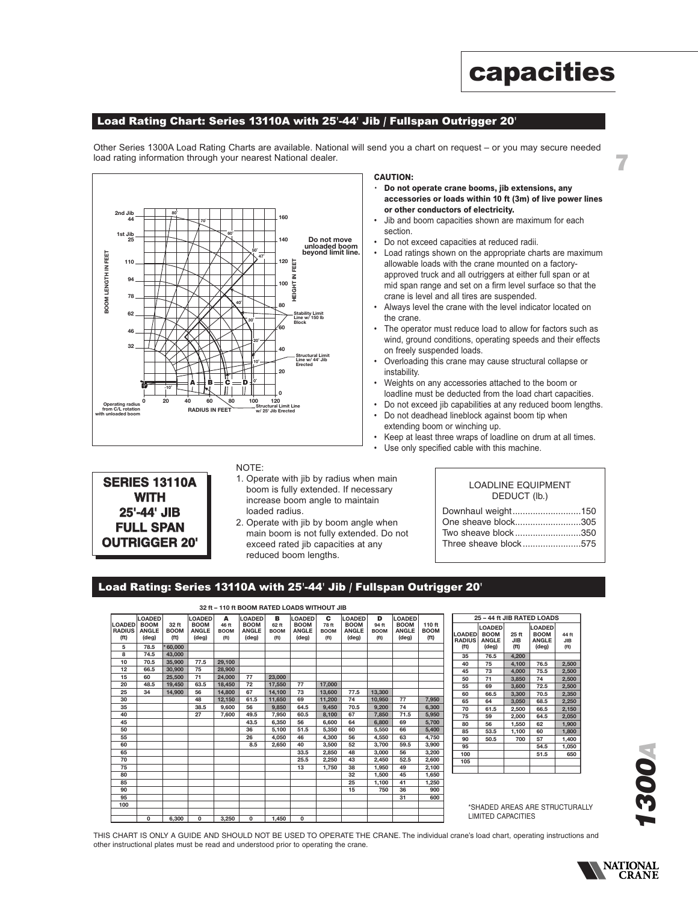#### **Load Rating Chart: Series 13110A with 25'-44' Jib / Fullspan Outrigger 20'**

Other Series 1300A Load Rating Charts are available. National will send you a chart on request – or you may secure needed load rating information through your nearest National dealer.



#### **CAUTION:**

**• Do not operate crane booms, jib extensions, any accessories or loads within 10 ft (3m) of live power lines or other conductors of electricity.**

**capacities**

7

- Jib and boom capacities shown are maximum for each section.
- Do not exceed capacities at reduced radii.
- Load ratings shown on the appropriate charts are maximum allowable loads with the crane mounted on a factoryapproved truck and all outriggers at either full span or at mid span range and set on a firm level surface so that the crane is level and all tires are suspended.
- Always level the crane with the level indicator located on the crane.
- The operator must reduce load to allow for factors such as wind, ground conditions, operating speeds and their effects on freely suspended loads.
- Overloading this crane may cause structural collapse or instability.
- Weights on any accessories attached to the boom or loadline must be deducted from the load chart capacities.
- Do not exceed jib capabilities at any reduced boom lengths.
- Do not deadhead lineblock against boom tip when extending boom or winching up.
- Keep at least three wraps of loadline on drum at all times.
- Use only specified cable with this machine.

#### NOTE:

- 1. Operate with jib by radius when main boom is fully extended. If necessary increase boom angle to maintain loaded radius.
- 2. Operate with jib by boom angle when main boom is not fully extended. Do not exceed rated jib capacities at any reduced boom lengths.

### LOADLINE EQUIPMENT DEDUCT (lb.)

| Downhaul weight150    |  |
|-----------------------|--|
| One sheave block305   |  |
| Two sheave block350   |  |
| Three sheave block575 |  |

#### **Load Rating: Series 13110A with 25'-44' Jib / Fullspan Outrigger 20'**

| 32 ft - 110 ft BOOM RATED LOADS WITHOUT JIB |               |                   |                |                   |                |                   |               |                   |                |                   |                |                   |
|---------------------------------------------|---------------|-------------------|----------------|-------------------|----------------|-------------------|---------------|-------------------|----------------|-------------------|----------------|-------------------|
|                                             | <b>LOADED</b> |                   | LOADED         | A                 | <b>LOADED</b>  | в                 | <b>LOADED</b> | c                 | <b>LOADED</b>  | D                 | <b>LOADED</b>  |                   |
| <b>LOADED</b>                               | <b>BOOM</b>   | 32 ft             | <b>BOOM</b>    | 46 ft             | <b>BOOM</b>    | 62 ft             | <b>BOOM</b>   | 78 ft             | <b>BOOM</b>    | 94 ft             | <b>BOOM</b>    | 110 ft            |
| <b>RADIUS</b>                               | <b>ANGLE</b>  | <b>BOOM</b>       | <b>ANGLE</b>   | <b>BOOM</b>       | <b>ANGLE</b>   | <b>BOOM</b>       | <b>ANGLE</b>  | <b>BOOM</b>       | <b>ANGLE</b>   | <b>BOOM</b>       | <b>ANGLE</b>   | <b>BOOM</b>       |
| (f <sup>t</sup> )                           | (deg)         | (f <sup>t</sup> ) | (deg)          | (f <sup>t</sup> ) | $(\text{deg})$ | (f <sup>t</sup> ) | (deg)         | (f <sup>t</sup> ) | $(\text{deg})$ | (f <sup>t</sup> ) | $(\text{deg})$ | (f <sup>t</sup> ) |
| 5                                           | 78.5          | 60.000            |                |                   |                |                   |               |                   |                |                   |                |                   |
| 8                                           | 74.5          | 43.000            |                |                   |                |                   |               |                   |                |                   |                |                   |
| 10                                          | 70.5          | 35.900            | 77.5           | 29.100            |                |                   |               |                   |                |                   |                |                   |
| 12                                          | 66.5          | 30.900            | 75             | 28.900            |                |                   |               |                   |                |                   |                |                   |
| 15                                          | 60            | 25.500            | 71             | 24.000            | 77             | 23.000            |               |                   |                |                   |                |                   |
| 20                                          | 48.5          | 19.450            | 63.5           | 18.450            | 72             | 17.550            | 77            | 17.000            |                |                   |                |                   |
| 25                                          | 34            | 14.900            | 56             | 14.800            | 67             | 14.100            | 73            | 13.600            | 77.5           | 13,300            |                |                   |
| 30                                          |               |                   | 48             | 12.150            | 61.5           | 11.650            | 69            | 11.200            | 74             | 10.950            | 77             | 7,950             |
| 35                                          |               |                   | 38.5           | 9.600             | 56             | 9.850             | 64.5          | 9.450             | 70.5           | 9.200             | 74             | 6.300             |
| 40                                          |               |                   | 27             | 7.600             | 49.5           | 7.950             | 60.5          | 8.100             | 67             | 7,850             | 71.5           | 5.950             |
| 45                                          |               |                   |                |                   | 43.5           | 6.350             | 56            | 6.600             | 64             | 6.800             | 69             | 5.700             |
| 50                                          |               |                   |                |                   | 36             | 5.100             | 51.5          | 5.350             | 60             | 5.550             | 66             | 5.400             |
| 55                                          |               |                   |                |                   | 26             | 4.050             | 46            | 4.300             | 56             | 4.550             | 63             | 4.750             |
| 60                                          |               |                   |                |                   | 8.5            | 2.650             | 40            | 3.500             | 52             | 3.700             | 59.5           | 3.900             |
| 65                                          |               |                   |                |                   |                |                   | 33.5          | 2.850             | 48             | 3.000             | 56             | 3.200             |
| 70                                          |               |                   |                |                   |                |                   | 25.5          | 2.250             | 43             | 2.450             | 52.5           | 2,600             |
| 75                                          |               |                   |                |                   |                |                   | 13            | 1.750             | 38             | 1.950             | 49             | 2.100             |
| 80                                          |               |                   |                |                   |                |                   |               |                   | 32             | 1.500             | 45             | 1,650             |
| 85                                          |               |                   |                |                   |                |                   |               |                   | 25             | 1.100             | 41             | 1.250             |
| 90                                          |               |                   |                |                   |                |                   |               |                   | 15             | 750               | 36             | 900               |
| 95                                          |               |                   |                |                   |                |                   |               |                   |                |                   | 31             | 600               |
| 100                                         |               |                   |                |                   |                |                   |               |                   |                |                   |                |                   |
|                                             |               |                   |                |                   |                |                   |               |                   |                |                   |                |                   |
|                                             | $\Omega$      | 6.300             | $\overline{0}$ | 3.250             | 0              | 1.450             | $\Omega$      |                   |                |                   |                |                   |

| <b>LOADED</b>                      | <b>LOADED</b>                        |                                          |                                                                |                                          |
|------------------------------------|--------------------------------------|------------------------------------------|----------------------------------------------------------------|------------------------------------------|
| <b>RADIUS</b><br>(f <sup>t</sup> ) | <b>BOOM</b><br><b>ANGLE</b><br>(deg) | 25 ft<br><b>JIB</b><br>(f <sup>t</sup> ) | <b>LOADED</b><br><b>BOOM</b><br><b>ANGLE</b><br>$(\text{deg})$ | 44 ft<br><b>JIB</b><br>(f <sup>t</sup> ) |
| 35                                 | 76.5                                 | 4,200                                    |                                                                |                                          |
| 40                                 | 75                                   | 4.100                                    | 76.5                                                           | 2,500                                    |
| 45                                 | 73                                   | 4.000                                    | 75.5                                                           | 2.500                                    |
| 50                                 | 71                                   | 3.850                                    | 74                                                             | 2.500                                    |
| 55                                 | 69                                   | 3.600                                    | 72.5                                                           | 2,500                                    |
| 60                                 | 66.5                                 | 3.300                                    | 70.5                                                           | 2,350                                    |
| 65                                 | 64                                   | 3.050                                    | 68.5                                                           | 2.250                                    |
| 70                                 | 61.5                                 | 2.500                                    | 66.5                                                           | 2,150                                    |
| 75                                 | 59                                   | 2.000                                    | 64.5                                                           | 2.050                                    |
| 80                                 | 56                                   | 1.550                                    | 62                                                             | 1.900                                    |
| 85                                 | 53.5                                 | 1,100                                    | 60                                                             | 1.800                                    |
| 90                                 | 50.5                                 | 700                                      | 57                                                             | 1.400                                    |
| 95                                 |                                      |                                          | 54.5                                                           | 1.050                                    |
| 100                                |                                      |                                          | 51.5                                                           | 650                                      |
| 105                                |                                      |                                          |                                                                |                                          |
|                                    |                                      |                                          |                                                                |                                          |

\*SHADED AREAS ARE STRUCTURALLY LIMITED CAPACITIES

THIS CHART IS ONLY A GUIDE AND SHOULD NOT BE USED TO OPERATE THE CRANE. The individual crane's load chart, operating instructions and other instructional plates must be read and understood prior to operating the crane.



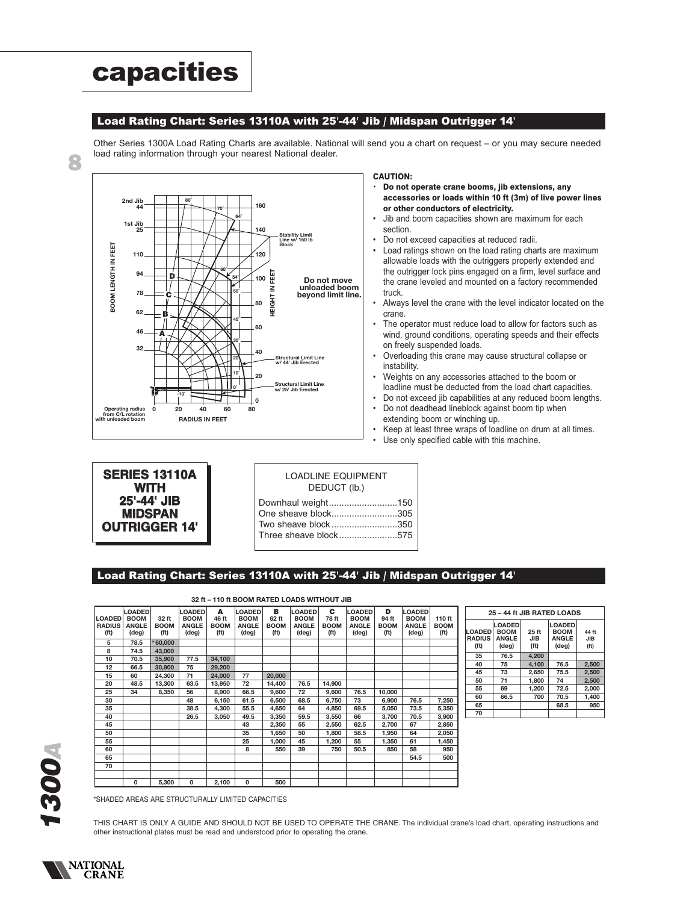# **capacities**

#### **Load Rating Chart: Series 13110A with 25'-44' Jib / Midspan Outrigger 14'**

Other Series 1300A Load Rating Charts are available. National will send you a chart on request – or you may secure needed load rating information through your nearest National dealer.



#### **CAUTION:**

- **Do not operate crane booms, jib extensions, any accessories or loads within 10 ft (3m) of live power lines or other conductors of electricity.**
- Jib and boom capacities shown are maximum for each section.
- Do not exceed capacities at reduced radii.<br>• Load ratings shown on the load rating chai
- Load ratings shown on the load rating charts are maximum allowable loads with the outriggers properly extended and the outrigger lock pins engaged on a firm, level surface and the crane leveled and mounted on a factory recommended truck.
- Always level the crane with the level indicator located on the crane.
- The operator must reduce load to allow for factors such as wind, ground conditions, operating speeds and their effects on freely suspended loads.
- Overloading this crane may cause structural collapse or instability.
- Weights on any accessories attached to the boom or loadline must be deducted from the load chart capacities.
- Do not exceed jib capabilities at any reduced boom lengths.
- Do not deadhead lineblock against boom tip when
- extending boom or winching up. • Keep at least three wraps of loadline on drum at all times.<br>• Use only specified cable with this machine
- Use only specified cable with this machine.

| <b>SERIES 13110A</b><br><b>WITH</b> |  |
|-------------------------------------|--|
| 25'-44' JIB                         |  |
| <b>MIDSPAN</b>                      |  |
| <b>OUTRIGGER 14'</b>                |  |

| <b>LOADLINE EQUIPMENT</b> |  |
|---------------------------|--|
| DEDUCT (lb.)              |  |

| Downhaul weight150    |
|-----------------------|
| One sheave block305   |
| Two sheave block350   |
| Three sheave block575 |
|                       |

### **Load Rating Chart: Series 13110A with 25'-44' Jib / Midspan Outrigger 14'**

| 32 ft - 110 ft BOOM RATED LOADS WITHOUT JIB         |                                                       |                              |                                                       |                                                |                                                       |                                                |                                                       |                                   |                                                       |                                                |                                                       |                                            |
|-----------------------------------------------------|-------------------------------------------------------|------------------------------|-------------------------------------------------------|------------------------------------------------|-------------------------------------------------------|------------------------------------------------|-------------------------------------------------------|-----------------------------------|-------------------------------------------------------|------------------------------------------------|-------------------------------------------------------|--------------------------------------------|
| <b>LOADED</b><br><b>RADIUS</b><br>(f <sup>t</sup> ) | <b>LOADED</b><br><b>BOOM</b><br><b>ANGLE</b><br>(deg) | 32 ft<br><b>BOOM</b><br>(ft) | <b>LOADED</b><br><b>BOOM</b><br><b>ANGLE</b><br>(deg) | A<br>46 ft<br><b>BOOM</b><br>(f <sup>t</sup> ) | <b>LOADED</b><br><b>BOOM</b><br><b>ANGLE</b><br>(deg) | в<br>62 ft<br><b>BOOM</b><br>(f <sup>t</sup> ) | <b>LOADED</b><br><b>BOOM</b><br><b>ANGLE</b><br>(deg) | c<br>78 ft<br><b>BOOM</b><br>(ft) | <b>LOADED</b><br><b>BOOM</b><br><b>ANGLE</b><br>(deg) | D<br>94 ft<br><b>BOOM</b><br>(f <sup>t</sup> ) | <b>LOADED</b><br><b>BOOM</b><br><b>ANGLE</b><br>(deg) | 110 ft<br><b>BOOM</b><br>(f <sup>t</sup> ) |
| 5                                                   | 78.5                                                  | $*60,000$                    |                                                       |                                                |                                                       |                                                |                                                       |                                   |                                                       |                                                |                                                       |                                            |
| 8                                                   | 74.5                                                  | 43,000                       |                                                       |                                                |                                                       |                                                |                                                       |                                   |                                                       |                                                |                                                       |                                            |
| 10                                                  | 70.5                                                  | 35,900                       | 77.5                                                  | 34,100                                         |                                                       |                                                |                                                       |                                   |                                                       |                                                |                                                       |                                            |
| 12                                                  | 66.5                                                  | 30,900                       | 75                                                    | 29,200                                         |                                                       |                                                |                                                       |                                   |                                                       |                                                |                                                       |                                            |
| 15                                                  | 60                                                    | 24.300                       | 71                                                    | 24.000                                         | 77                                                    | 20,000                                         |                                                       |                                   |                                                       |                                                |                                                       |                                            |
| 20                                                  | 48.5                                                  | 13,300                       | 63.5                                                  | 13,950                                         | 72                                                    | 14,400                                         | 76.5                                                  | 14,900                            |                                                       |                                                |                                                       |                                            |
| 25                                                  | 34                                                    | 8,350                        | 56                                                    | 8,900                                          | 66.5                                                  | 9,600                                          | 72                                                    | 9,600                             | 76.5                                                  | 10,000                                         |                                                       |                                            |
| 30                                                  |                                                       |                              | 48                                                    | 6.150                                          | 61.5                                                  | 6.500                                          | 68.5                                                  | 6,750                             | 73                                                    | 6.900                                          | 76.5                                                  | 7,250                                      |
| 35                                                  |                                                       |                              | 38.5                                                  | 4,300                                          | 55.5                                                  | 4,650                                          | 64                                                    | 4,850                             | 69.5                                                  | 5,050                                          | 73.5                                                  | 5,350                                      |
| 40                                                  |                                                       |                              | 26.5                                                  | 3,050                                          | 49.5                                                  | 3,350                                          | 59.5                                                  | 3,550                             | 66                                                    | 3,700                                          | 70.5                                                  | 3,900                                      |
| 45                                                  |                                                       |                              |                                                       |                                                | 43                                                    | 2,350                                          | 55                                                    | 2,550                             | 62.5                                                  | 2,700                                          | 67                                                    | 2,850                                      |
| 50                                                  |                                                       |                              |                                                       |                                                | 35                                                    | 1,650                                          | 50                                                    | 1,800                             | 58.5                                                  | 1,950                                          | 64                                                    | 2,050                                      |
| 55                                                  |                                                       |                              |                                                       |                                                | 25                                                    | 1,000                                          | 45                                                    | 1,200                             | 55                                                    | 1,350                                          | 61                                                    | 1,450                                      |
| 60                                                  |                                                       |                              |                                                       |                                                | 8                                                     | 550                                            | 39                                                    | 750                               | 50.5                                                  | 850                                            | 58                                                    | 950                                        |
| 65                                                  |                                                       |                              |                                                       |                                                |                                                       |                                                |                                                       |                                   |                                                       |                                                | 54.5                                                  | 500                                        |
| 70                                                  |                                                       |                              |                                                       |                                                |                                                       |                                                |                                                       |                                   |                                                       |                                                |                                                       |                                            |
|                                                     |                                                       |                              |                                                       |                                                |                                                       |                                                |                                                       |                                   |                                                       |                                                |                                                       |                                            |
|                                                     | 0                                                     | 5,300                        | 0                                                     | 2,100                                          | 0                                                     | 500                                            |                                                       |                                   |                                                       |                                                |                                                       |                                            |

| 25 - 44 ft JIB RATED LOADS |                              |                   |               |                   |  |  |  |  |  |  |
|----------------------------|------------------------------|-------------------|---------------|-------------------|--|--|--|--|--|--|
|                            | <b>LOADED</b><br><b>BOOM</b> |                   | <b>LOADED</b> |                   |  |  |  |  |  |  |
| <b>LOADED</b>              |                              | 25 ft             | <b>BOOM</b>   | 44 ft             |  |  |  |  |  |  |
| <b>RADIUS</b>              | <b>ANGLE</b>                 | <b>JIB</b>        | <b>ANGLE</b>  | <b>JIB</b>        |  |  |  |  |  |  |
| (f <sup>t</sup> )          | $(\text{deg})$               | (f <sup>t</sup> ) | (deg)         | (f <sup>t</sup> ) |  |  |  |  |  |  |
| 35                         | 76.5                         | 4.200             |               |                   |  |  |  |  |  |  |
| 40                         | 75                           | 4.100             | 76.5          | 2.500             |  |  |  |  |  |  |
| 45                         | 73                           | 2.650             | 75.5          | 2.500             |  |  |  |  |  |  |
| 50                         | 71                           | 1.800             | 74            | 2.500             |  |  |  |  |  |  |
| 55                         | 69                           | 1.200             | 72.5          | 2.000             |  |  |  |  |  |  |
| 60                         | 66.5                         | 700               | 70.5          | 1.400             |  |  |  |  |  |  |
| 65                         |                              |                   | 68.5          | 950               |  |  |  |  |  |  |
| 70                         |                              |                   |               |                   |  |  |  |  |  |  |

\*SHADED AREAS ARE STRUCTURALLY LIMITED CAPACITIES

THIS CHART IS ONLY A GUIDE AND SHOULD NOT BE USED TO OPERATE THE CRANE. The individual crane's load chart, operating instructions and other instructional plates must be read and understood prior to operating the crane.



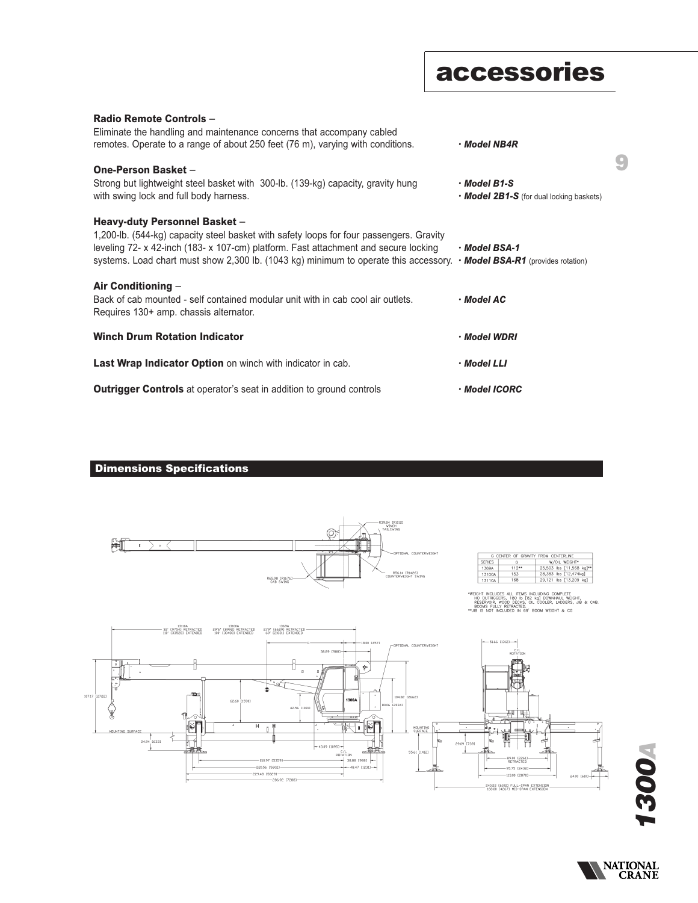# **accessories**

9

| Radio Remote Controls -<br>Eliminate the handling and maintenance concerns that accompany cabled<br>remotes. Operate to a range of about 250 feet (76 m), varying with conditions.                                                                                                                                                               | $\cdot$ Model NB4R                                                   |
|--------------------------------------------------------------------------------------------------------------------------------------------------------------------------------------------------------------------------------------------------------------------------------------------------------------------------------------------------|----------------------------------------------------------------------|
| One-Person Basket -<br>Strong but lightweight steel basket with 300-lb. (139-kg) capacity, gravity hung<br>with swing lock and full body harness.                                                                                                                                                                                                | $\cdot$ Model B1-S<br>$\cdot$ Model 2B1-S (for dual locking baskets) |
| Heavy-duty Personnel Basket -<br>1,200-lb. (544-kg) capacity steel basket with safety loops for four passengers. Gravity<br>leveling 72- x 42-inch (183- x 107-cm) platform. Fast attachment and secure locking<br>systems. Load chart must show 2,300 lb. (1043 kg) minimum to operate this accessory. $\cdot$ Model BSA-R1 (provides rotation) | · Model BSA-1                                                        |
| Air Conditioning $-$<br>Back of cab mounted - self contained modular unit with in cab cool air outlets.<br>Requires 130+ amp. chassis alternator.                                                                                                                                                                                                | • Model AC                                                           |
| <b>Winch Drum Rotation Indicator</b>                                                                                                                                                                                                                                                                                                             | · Model WDRI                                                         |
| <b>Last Wrap Indicator Option</b> on winch with indicator in cab.                                                                                                                                                                                                                                                                                | • Model LLI                                                          |
| <b>Outrigger Controls</b> at operator's seat in addition to ground controls                                                                                                                                                                                                                                                                      | · Model ICORC                                                        |

### **Dimensions Specifications**



*1300A*

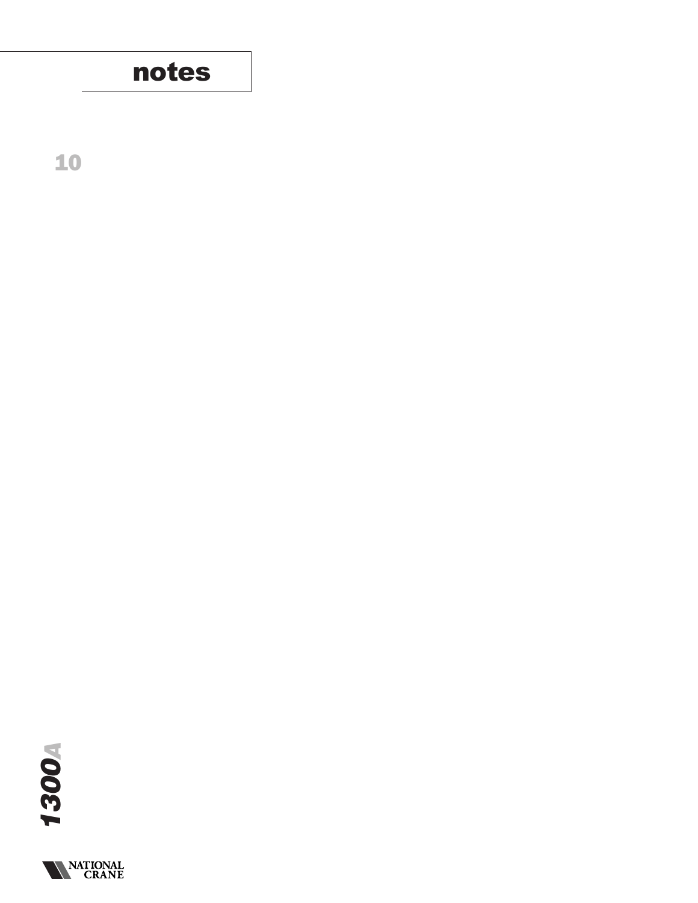

10



**NATIONAL**<br>**CRANE**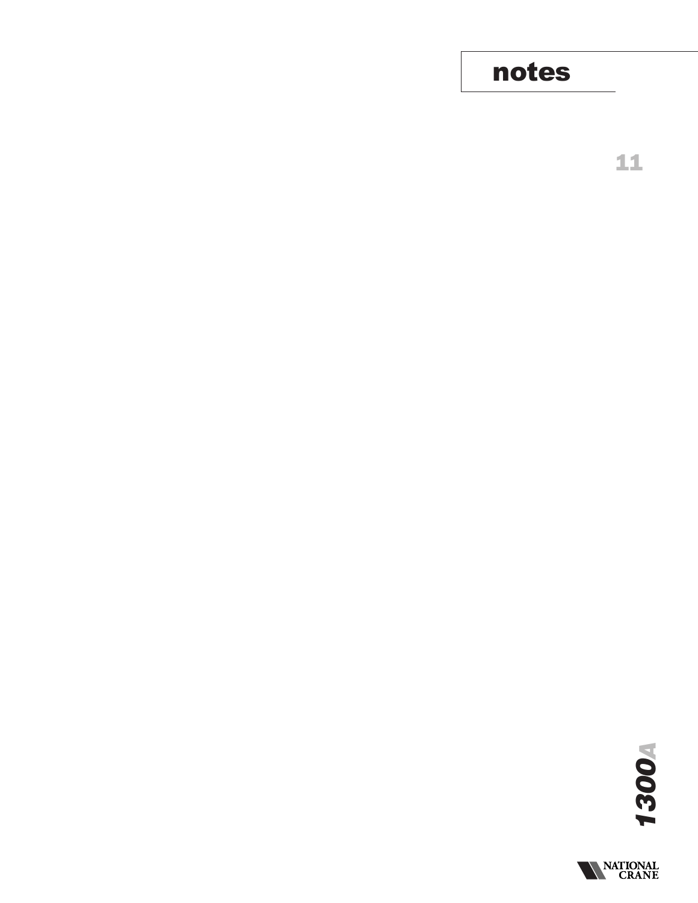# notes

11